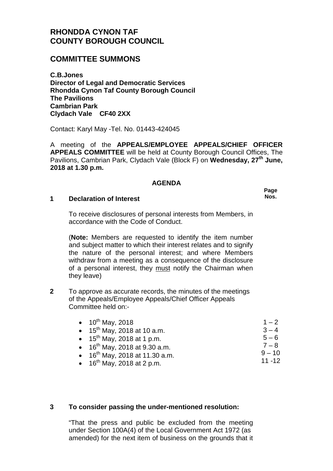# **RHONDDA CYNON TAF COUNTY BOROUGH COUNCIL**

# **COMMITTEE SUMMONS**

**C.B.Jones Director of Legal and Democratic Services Rhondda Cynon Taf County Borough Council The Pavilions Cambrian Park Clydach Vale CF40 2XX**

Contact: Karyl May -Tel. No. 01443-424045

A meeting of the **APPEALS/EMPLOYEE APPEALS/CHIEF OFFICER APPEALS COMMITTEE** will be held at County Borough Council Offices, The Pavilions, Cambrian Park, Clydach Vale (Block F) on **Wednesday, 27th June, 2018 at 1.30 p.m.**

### **AGENDA**

**Page Nos.**

#### **1 Declaration of Interest**

To receive disclosures of personal interests from Members, in accordance with the Code of Conduct.

(**Note:** Members are requested to identify the item number and subject matter to which their interest relates and to signify the nature of the personal interest; and where Members withdraw from a meeting as a consequence of the disclosure of a personal interest, they must notify the Chairman when they leave)

**2** To approve as accurate records, the minutes of the meetings of the Appeals/Employee Appeals/Chief Officer Appeals Committee held on:-

| • $10^{th}$ May, 2018                     | $1 - 2$   |
|-------------------------------------------|-----------|
| • 15 <sup>th</sup> May, 2018 at 10 a.m.   | $3 - 4$   |
| • 15 <sup>th</sup> May, 2018 at 1 p.m.    | $5 - 6$   |
| • 16 <sup>th</sup> May, 2018 at 9.30 a.m. | $7 - 8$   |
| • $16^{th}$ May, 2018 at 11.30 a.m.       | $9 - 10$  |
| • $16^{th}$ May 2018 at 2 p.m.            | $11 - 12$ |

• 16<sup>th</sup> May, 2018 at 2 p.m.

### **3 To consider passing the under-mentioned resolution:**

"That the press and public be excluded from the meeting under Section 100A(4) of the Local Government Act 1972 (as amended) for the next item of business on the grounds that it